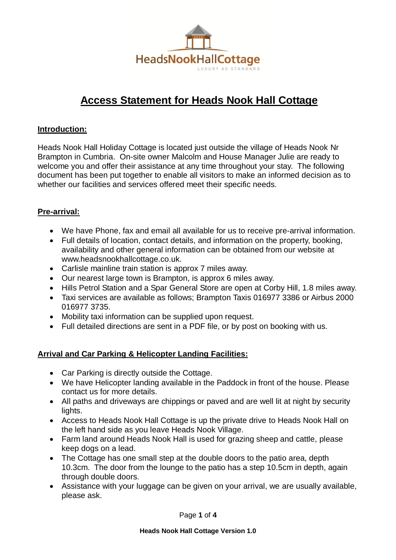

# **Access Statement for Heads Nook Hall Cottage**

#### **Introduction:**

Heads Nook Hall Holiday Cottage is located just outside the village of Heads Nook Nr Brampton in Cumbria. On-site owner Malcolm and House Manager Julie are ready to welcome you and offer their assistance at any time throughout your stay. The following document has been put together to enable all visitors to make an informed decision as to whether our facilities and services offered meet their specific needs.

### **Pre-arrival:**

- We have Phone, fax and email all available for us to receive pre-arrival information.
- Full details of location, contact details, and information on the property, booking, availability and other general information can be obtained from our website at [www.headsnookhallcottage.co.uk.](http://www.headsnookhallcottage.co.uk/)
- Carlisle mainline train station is approx 7 miles away.
- Our nearest large town is Brampton, is approx 6 miles away.
- Hills Petrol Station and a Spar General Store are open at Corby Hill, 1.8 miles away.
- Taxi services are available as follows; Brampton Taxis 016977 3386 or Airbus 2000 016977 3735.
- Mobility taxi information can be supplied upon request.
- Full detailed directions are sent in a PDF file, or by post on booking with us.

### **Arrival and Car Parking & Helicopter Landing Facilities:**

- Car Parking is directly outside the Cottage.
- We have Helicopter landing available in the Paddock in front of the house. Please contact us for more details.
- All paths and driveways are chippings or paved and are well lit at night by security lights.
- Access to Heads Nook Hall Cottage is up the private drive to Heads Nook Hall on the left hand side as you leave Heads Nook Village.
- Farm land around Heads Nook Hall is used for grazing sheep and cattle, please keep dogs on a lead.
- The Cottage has one small step at the double doors to the patio area, depth 10.3cm. The door from the lounge to the patio has a step 10.5cm in depth, again through double doors.
- Assistance with your luggage can be given on your arrival, we are usually available, please ask.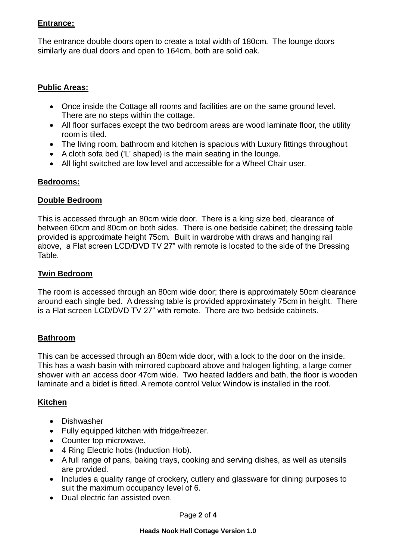#### **Entrance:**

The entrance double doors open to create a total width of 180cm. The lounge doors similarly are dual doors and open to 164cm, both are solid oak.

### **Public Areas:**

- Once inside the Cottage all rooms and facilities are on the same ground level. There are no steps within the cottage.
- All floor surfaces except the two bedroom areas are wood laminate floor, the utility room is tiled.
- The living room, bathroom and kitchen is spacious with Luxury fittings throughout
- A cloth sofa bed ('L' shaped) is the main seating in the lounge.
- All light switched are low level and accessible for a Wheel Chair user.

### **Bedrooms:**

#### **Double Bedroom**

This is accessed through an 80cm wide door. There is a king size bed, clearance of between 60cm and 80cm on both sides. There is one bedside cabinet; the dressing table provided is approximate height 75cm. Built in wardrobe with draws and hanging rail above, a Flat screen LCD/DVD TV 27" with remote is located to the side of the Dressing Table.

### **Twin Bedroom**

The room is accessed through an 80cm wide door; there is approximately 50cm clearance around each single bed. A dressing table is provided approximately 75cm in height. There is a Flat screen LCD/DVD TV 27" with remote. There are two bedside cabinets.

### **Bathroom**

This can be accessed through an 80cm wide door, with a lock to the door on the inside. This has a wash basin with mirrored cupboard above and halogen lighting, a large corner shower with an access door 47cm wide. Two heated ladders and bath, the floor is wooden laminate and a bidet is fitted. A remote control Velux Window is installed in the roof.

### **Kitchen**

- Dishwasher
- Fully equipped kitchen with fridge/freezer.
- Counter top microwave.
- 4 Ring Electric hobs (Induction Hob).
- A full range of pans, baking trays, cooking and serving dishes, as well as utensils are provided.
- Includes a quality range of crockery, cutlery and glassware for dining purposes to suit the maximum occupancy level of 6.
- Dual electric fan assisted oven.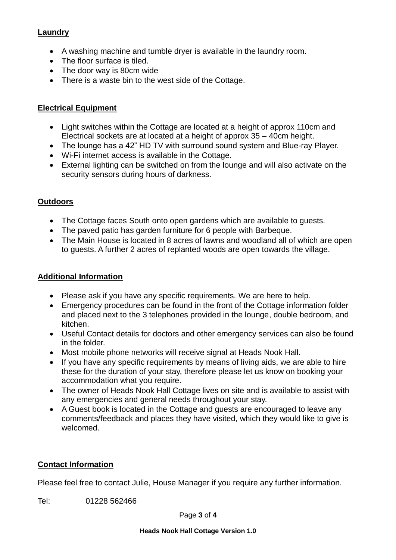# **Laundry**

- A washing machine and tumble dryer is available in the laundry room.
- The floor surface is tiled.
- The door way is 80cm wide
- There is a waste bin to the west side of the Cottage.

# **Electrical Equipment**

- Light switches within the Cottage are located at a height of approx 110cm and Electrical sockets are at located at a height of approx 35 – 40cm height.
- The lounge has a 42" HD TV with surround sound system and Blue-ray Player.
- Wi-Fi internet access is available in the Cottage.
- External lighting can be switched on from the lounge and will also activate on the security sensors during hours of darkness.

### **Outdoors**

- The Cottage faces South onto open gardens which are available to guests.
- The paved patio has garden furniture for 6 people with Barbeque.
- The Main House is located in 8 acres of lawns and woodland all of which are open to guests. A further 2 acres of replanted woods are open towards the village.

# **Additional Information**

- Please ask if you have any specific requirements. We are here to help.
- Emergency procedures can be found in the front of the Cottage information folder and placed next to the 3 telephones provided in the lounge, double bedroom, and kitchen.
- Useful Contact details for doctors and other emergency services can also be found in the folder.
- Most mobile phone networks will receive signal at Heads Nook Hall.
- If you have any specific requirements by means of living aids, we are able to hire these for the duration of your stay, therefore please let us know on booking your accommodation what you require.
- The owner of Heads Nook Hall Cottage lives on site and is available to assist with any emergencies and general needs throughout your stay.
- A Guest book is located in the Cottage and guests are encouraged to leave any comments/feedback and places they have visited, which they would like to give is welcomed.

### **Contact Information**

Please feel free to contact Julie, House Manager if you require any further information.

Tel: 01228 562466

Page **3** of **4**